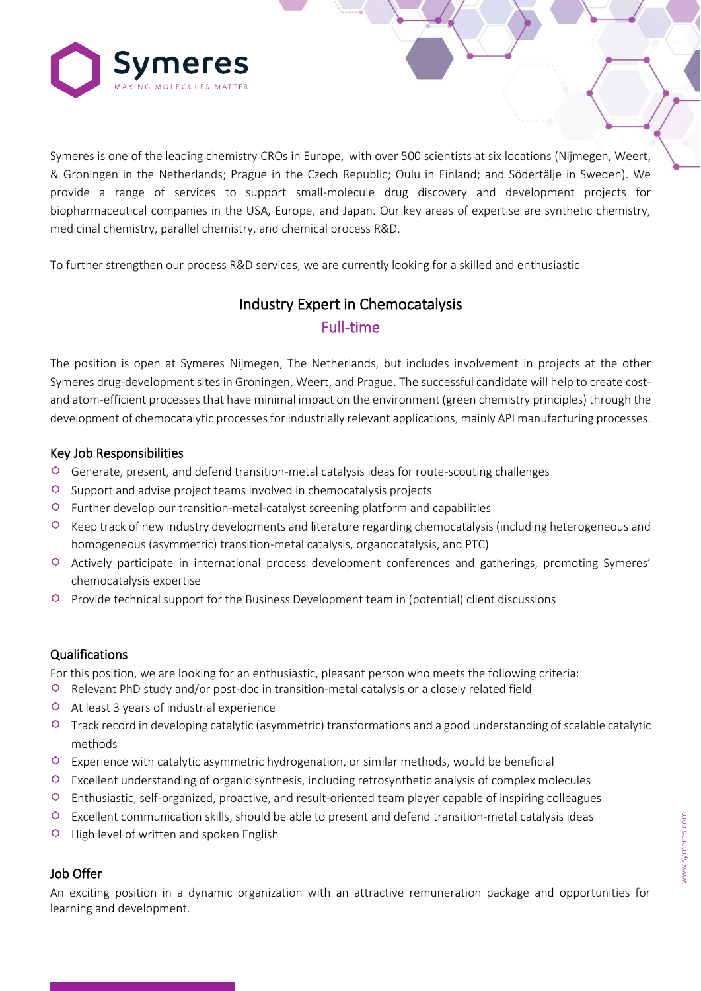

Symeres is one of the leading chemistry CROs in Europe, with over 500 scientists at six locations (Nijmegen, Weert, & Groningen in the Netherlands; Prague in the Czech Republic; Oulu in Finland; and Södertälje in Sweden). We provide a range of services to support small-molecule drug discovery and development projects for biopharmaceutical companies in the USA, Europe, and Japan. Our key areas of expertise are synthetic chemistry, medicinal chemistry, parallel chemistry, and chemical process R&D.

To further strengthen our process R&D services, we are currently looking for a skilled and enthusiastic

# Industry Expert in Chemocatalysis Full-time

The position is open at Symeres Nijmegen, The Netherlands, but includes involvement in projects at the other Symeres drug-development sites in Groningen, Weert, and Prague. The successful candidate will help to create costand atom-efficient processes that have minimal impact on the environment (green chemistry principles) through the development of chemocatalytic processes for industrially relevant applications, mainly API manufacturing processes.

### Key Job Responsibilities

- $\circ$  Generate, present, and defend transition-metal catalysis ideas for route-scouting challenges
- $\circ$  Support and advise project teams involved in chemocatalysis projects
- $\circ$  Further develop our transition-metal-catalyst screening platform and capabilities
- $\circ$  Keep track of new industry developments and literature regarding chemocatalysis (including heterogeneous and homogeneous (asymmetric) transition-metal catalysis, organocatalysis, and PTC)
- Actively participate in international process development conferences and gatherings, promoting Symeres' chemocatalysis expertise
- Provide technical support for the Business Development team in (potential) client discussions

## Qualifications

For this position, we are looking for an enthusiastic, pleasant person who meets the following criteria:

- $\circ$  Relevant PhD study and/or post-doc in transition-metal catalysis or a closely related field
- $\circ$  At least 3 years of industrial experience
- $\circ$  Track record in developing catalytic (asymmetric) transformations and a good understanding of scalable catalytic methods
- $\circ$  Experience with catalytic asymmetric hydrogenation, or similar methods, would be beneficial
- $\circ$  Excellent understanding of organic synthesis, including retrosynthetic analysis of complex molecules
- Enthusiastic, self-organized, proactive, and result-oriented team player capable of inspiring colleagues
- $\circ$  Excellent communication skills, should be able to present and defend transition-metal catalysis ideas
- $\circ$  High level of written and spoken English

#### Job Offer

An exciting position in a dynamic organization with an attractive remuneration package and opportunities for learning and development.